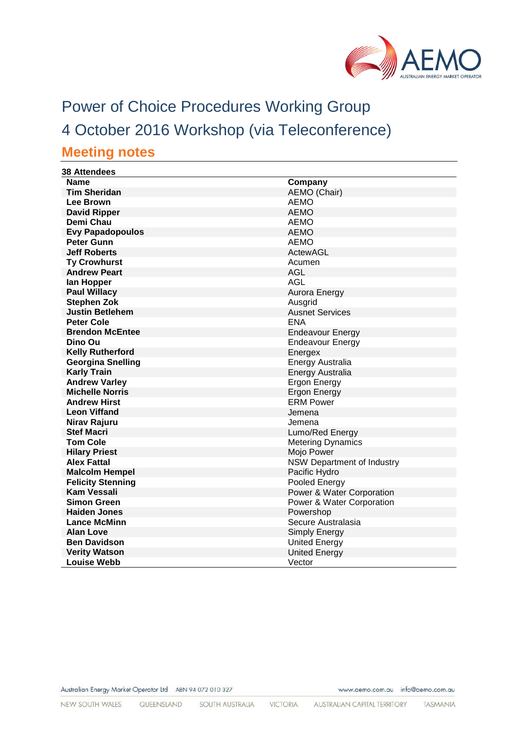

# Power of Choice Procedures Working Group 4 October 2016 Workshop (via Teleconference) **Meeting notes**

#### **38 Attendees Name Company Tim Sheridan** AEMO (Chair) **Lee Brown** AEMO **David Ripper** AEMO **Demi Chau** AEMO **Evy Papadopoulos** AEMO **Peter Gunn** AEMO **Jeff Roberts** ActewAGL **Ty Crowhurst** Acumen<br> **Andrew Peart** AGL Andrew Part **Andrew Peart Ian Hopper** AGL **Aurora Energy Stephen Zok** Ausgrid **Justin Betlehem Australian Services Australian Australian Australian Ausnet Services Peter Cole** ENA **Brendon McEntee** Endeavour Energy **Dino Ou Endeavour Energy Kelly Rutherford** Energex **Georgina Snelling**<br> **Karly Train**<br> **Karly Train**<br> **Energy Australia Energy Australia Andrew Varley Ergon Energy Michelle Norris** Ergon Energy **Andrew Hirst** ERM Power **Leon Viffand Jemena Nirav Rajuru**<br> **Stef Macri Alternative Contract Contract Contract Contract Contract Contract Contract Contract Contract Contra<br>
Lumo/Re Stef Macri Contract Contract Contract Contract Contract Contract Contract Contract Contract Contract Contract Contract Contract Contract Contract Contract Contract Contract Contract Contract Contract Contract Contract C Metering Dynamics**<br>Mojo Power **Hilary Priest Alex Fattal** NSW Department of Industry<br> **Malcolm Hempel** Pacific Hydro<br>
Pacific Hydro **Malcolm Hempel Felicity Stenning**<br> **Kam Vessali**<br> **Kam Vessali**<br>
Power & Water **Kam Vessali**<br> **Kam Vessali** Power & Water Corporation<br>
Power & Water Corporation **Power & Water Corporation Haiden Jones Powershop Lance McMinn** Secure Australasia **Alan Love** Simply Energy **Ben Davidson** United Energy **Verity Watson Verity Watson Louise Webb** Vector

Australian Energy Market Operator Ltd ABN 94 072 010 327

www.aemo.com.au info@aemo.com.au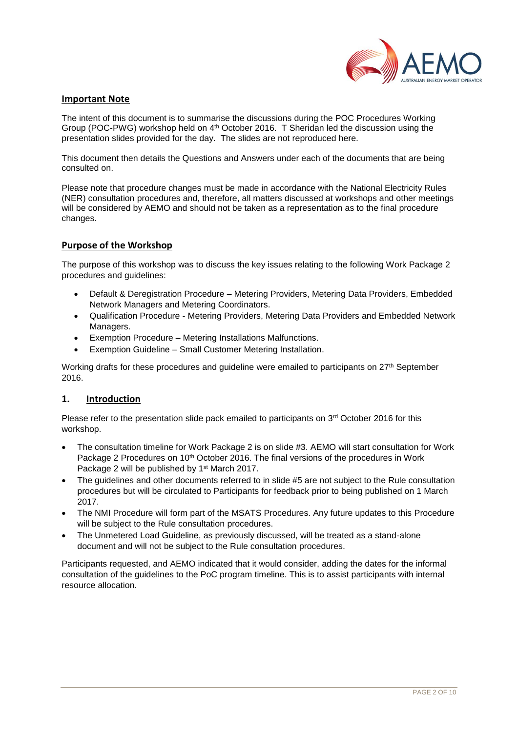

### **Important Note**

The intent of this document is to summarise the discussions during the POC Procedures Working Group (POC-PWG) workshop held on 4<sup>th</sup> October 2016. T Sheridan led the discussion using the presentation slides provided for the day. The slides are not reproduced here.

This document then details the Questions and Answers under each of the documents that are being consulted on.

Please note that procedure changes must be made in accordance with the National Electricity Rules (NER) consultation procedures and, therefore, all matters discussed at workshops and other meetings will be considered by AEMO and should not be taken as a representation as to the final procedure changes.

#### **Purpose of the Workshop**

The purpose of this workshop was to discuss the key issues relating to the following Work Package 2 procedures and guidelines:

- Default & Deregistration Procedure Metering Providers, Metering Data Providers, Embedded Network Managers and Metering Coordinators.
- Qualification Procedure Metering Providers, Metering Data Providers and Embedded Network Managers.
- Exemption Procedure Metering Installations Malfunctions.
- Exemption Guideline Small Customer Metering Installation.

Working drafts for these procedures and quideline were emailed to participants on 27<sup>th</sup> September 2016.

## **1. Introduction**

Please refer to the presentation slide pack emailed to participants on 3<sup>rd</sup> October 2016 for this workshop.

- The consultation timeline for Work Package 2 is on slide #3. AEMO will start consultation for Work Package 2 Procedures on 10<sup>th</sup> October 2016. The final versions of the procedures in Work Package 2 will be published by 1<sup>st</sup> March 2017.
- The guidelines and other documents referred to in slide #5 are not subject to the Rule consultation procedures but will be circulated to Participants for feedback prior to being published on 1 March 2017.
- The NMI Procedure will form part of the MSATS Procedures. Any future updates to this Procedure will be subject to the Rule consultation procedures.
- The Unmetered Load Guideline, as previously discussed, will be treated as a stand-alone document and will not be subject to the Rule consultation procedures.

Participants requested, and AEMO indicated that it would consider, adding the dates for the informal consultation of the guidelines to the PoC program timeline. This is to assist participants with internal resource allocation.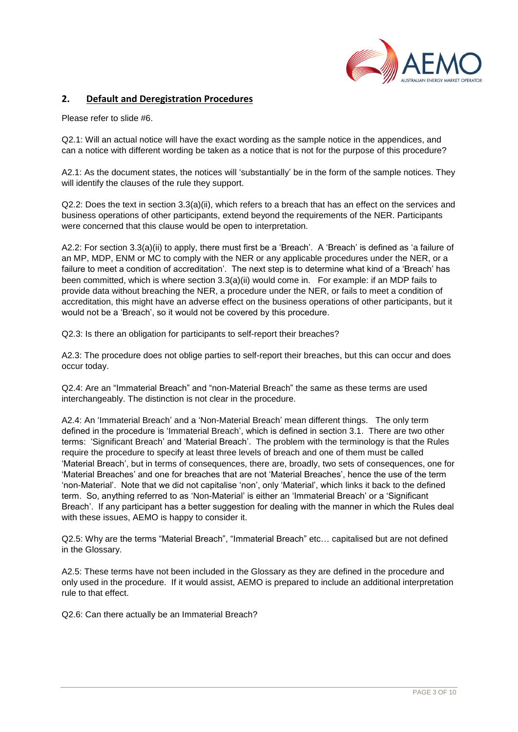

## **2. Default and Deregistration Procedures**

Please refer to slide #6.

Q2.1: Will an actual notice will have the exact wording as the sample notice in the appendices, and can a notice with different wording be taken as a notice that is not for the purpose of this procedure?

A2.1: As the document states, the notices will 'substantially' be in the form of the sample notices. They will identify the clauses of the rule they support.

 $Q2.2$ : Does the text in section  $3.3(a)(ii)$ , which refers to a breach that has an effect on the services and business operations of other participants, extend beyond the requirements of the NER. Participants were concerned that this clause would be open to interpretation.

A2.2: For section 3.3(a)(ii) to apply, there must first be a 'Breach'. A 'Breach' is defined as 'a failure of an MP, MDP, ENM or MC to comply with the NER or any applicable procedures under the NER, or a failure to meet a condition of accreditation'. The next step is to determine what kind of a 'Breach' has been committed, which is where section 3.3(a)(ii) would come in. For example: if an MDP fails to provide data without breaching the NER, a procedure under the NER, or fails to meet a condition of accreditation, this might have an adverse effect on the business operations of other participants, but it would not be a 'Breach', so it would not be covered by this procedure.

Q2.3: Is there an obligation for participants to self-report their breaches?

A2.3: The procedure does not oblige parties to self-report their breaches, but this can occur and does occur today.

Q2.4: Are an "Immaterial Breach" and "non-Material Breach" the same as these terms are used interchangeably. The distinction is not clear in the procedure.

A2.4: An 'Immaterial Breach' and a 'Non-Material Breach' mean different things. The only term defined in the procedure is 'Immaterial Breach', which is defined in section 3.1. There are two other terms: 'Significant Breach' and 'Material Breach'. The problem with the terminology is that the Rules require the procedure to specify at least three levels of breach and one of them must be called 'Material Breach', but in terms of consequences, there are, broadly, two sets of consequences, one for 'Material Breaches' and one for breaches that are not 'Material Breaches', hence the use of the term 'non-Material'. Note that we did not capitalise 'non', only 'Material', which links it back to the defined term. So, anything referred to as 'Non-Material' is either an 'Immaterial Breach' or a 'Significant Breach'. If any participant has a better suggestion for dealing with the manner in which the Rules deal with these issues, AEMO is happy to consider it.

Q2.5: Why are the terms "Material Breach", "Immaterial Breach" etc… capitalised but are not defined in the Glossary.

A2.5: These terms have not been included in the Glossary as they are defined in the procedure and only used in the procedure. If it would assist, AEMO is prepared to include an additional interpretation rule to that effect.

Q2.6: Can there actually be an Immaterial Breach?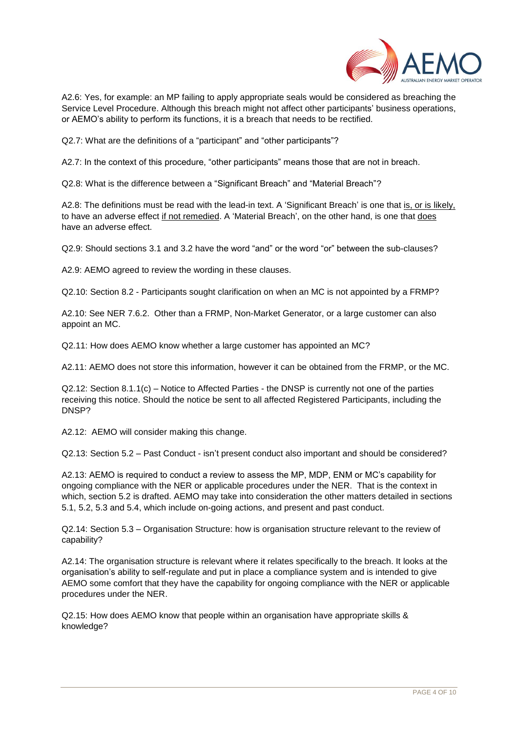

A2.6: Yes, for example: an MP failing to apply appropriate seals would be considered as breaching the Service Level Procedure. Although this breach might not affect other participants' business operations, or AEMO's ability to perform its functions, it is a breach that needs to be rectified.

Q2.7: What are the definitions of a "participant" and "other participants"?

A2.7: In the context of this procedure, "other participants" means those that are not in breach.

Q2.8: What is the difference between a "Significant Breach" and "Material Breach"?

A2.8: The definitions must be read with the lead-in text. A 'Significant Breach' is one that is, or is likely, to have an adverse effect if not remedied. A 'Material Breach', on the other hand, is one that does have an adverse effect.

Q2.9: Should sections 3.1 and 3.2 have the word "and" or the word "or" between the sub-clauses?

A2.9: AEMO agreed to review the wording in these clauses.

Q2.10: Section 8.2 - Participants sought clarification on when an MC is not appointed by a FRMP?

A2.10: See NER 7.6.2. Other than a FRMP, Non-Market Generator, or a large customer can also appoint an MC.

Q2.11: How does AEMO know whether a large customer has appointed an MC?

A2.11: AEMO does not store this information, however it can be obtained from the FRMP, or the MC.

Q2.12: Section 8.1.1(c) – Notice to Affected Parties - the DNSP is currently not one of the parties receiving this notice. Should the notice be sent to all affected Registered Participants, including the DNSP?

A2.12: AEMO will consider making this change.

Q2.13: Section 5.2 – Past Conduct - isn't present conduct also important and should be considered?

A2.13: AEMO is required to conduct a review to assess the MP, MDP, ENM or MC's capability for ongoing compliance with the NER or applicable procedures under the NER. That is the context in which, section 5.2 is drafted. AEMO may take into consideration the other matters detailed in sections 5.1, 5.2, 5.3 and 5.4, which include on-going actions, and present and past conduct.

Q2.14: Section 5.3 – Organisation Structure: how is organisation structure relevant to the review of capability?

A2.14: The organisation structure is relevant where it relates specifically to the breach. It looks at the organisation's ability to self-regulate and put in place a compliance system and is intended to give AEMO some comfort that they have the capability for ongoing compliance with the NER or applicable procedures under the NER.

Q2.15: How does AEMO know that people within an organisation have appropriate skills & knowledge?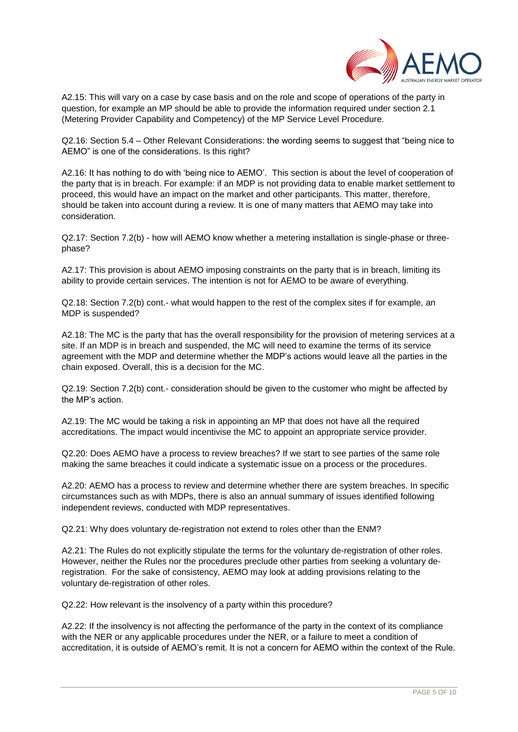

A2.15: This will vary on a case by case basis and on the role and scope of operations of the party in question, for example an MP should be able to provide the information required under section 2.1 (Metering Provider Capability and Competency) of the MP Service Level Procedure.

Q2.16: Section 5.4 – Other Relevant Considerations: the wording seems to suggest that "being nice to AEMO" is one of the considerations. Is this right?

A2.16: It has nothing to do with 'being nice to AEMO'. This section is about the level of cooperation of the party that is in breach. For example: if an MDP is not providing data to enable market settlement to proceed, this would have an impact on the market and other participants. This matter, therefore, should be taken into account during a review. It is one of many matters that AEMO may take into consideration.

Q2.17: Section 7.2(b) - how will AEMO know whether a metering installation is single-phase or threephase?

A2.17: This provision is about AEMO imposing constraints on the party that is in breach, limiting its ability to provide certain services. The intention is not for AEMO to be aware of everything.

Q2.18: Section 7.2(b) cont.- what would happen to the rest of the complex sites if for example, an MDP is suspended?

A2.18: The MC is the party that has the overall responsibility for the provision of metering services at a site. If an MDP is in breach and suspended, the MC will need to examine the terms of its service agreement with the MDP and determine whether the MDP's actions would leave all the parties in the chain exposed. Overall, this is a decision for the MC.

Q2.19: Section 7.2(b) cont.- consideration should be given to the customer who might be affected by the MP's action.

A2.19: The MC would be taking a risk in appointing an MP that does not have all the required accreditations. The impact would incentivise the MC to appoint an appropriate service provider.

Q2.20: Does AEMO have a process to review breaches? If we start to see parties of the same role making the same breaches it could indicate a systematic issue on a process or the procedures.

A2.20: AEMO has a process to review and determine whether there are system breaches. In specific circumstances such as with MDPs, there is also an annual summary of issues identified following independent reviews, conducted with MDP representatives.

Q2.21: Why does voluntary de-registration not extend to roles other than the ENM?

A2.21: The Rules do not explicitly stipulate the terms for the voluntary de-registration of other roles. However, neither the Rules nor the procedures preclude other parties from seeking a voluntary deregistration. For the sake of consistency, AEMO may look at adding provisions relating to the voluntary de-registration of other roles.

Q2.22: How relevant is the insolvency of a party within this procedure?

A2.22: If the insolvency is not affecting the performance of the party in the context of its compliance with the NER or any applicable procedures under the NER, or a failure to meet a condition of accreditation, it is outside of AEMO's remit. It is not a concern for AEMO within the context of the Rule.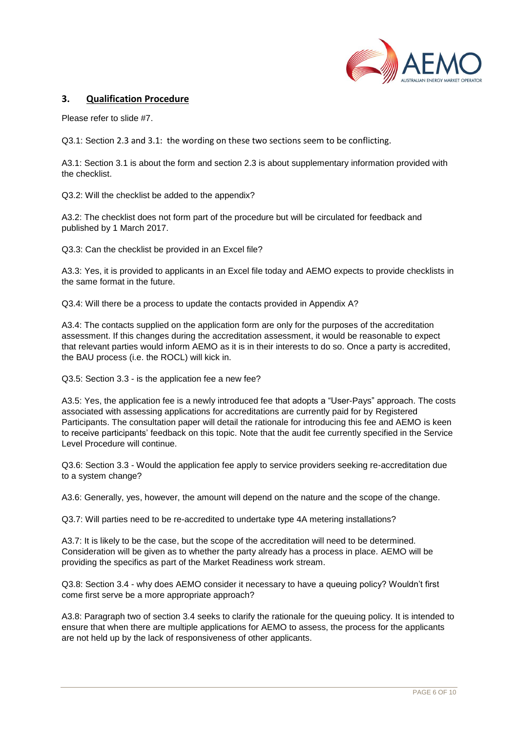

## **3. Qualification Procedure**

Please refer to slide #7.

Q3.1: Section 2.3 and 3.1: the wording on these two sections seem to be conflicting.

A3.1: Section 3.1 is about the form and section 2.3 is about supplementary information provided with the checklist.

Q3.2: Will the checklist be added to the appendix?

A3.2: The checklist does not form part of the procedure but will be circulated for feedback and published by 1 March 2017.

Q3.3: Can the checklist be provided in an Excel file?

A3.3: Yes, it is provided to applicants in an Excel file today and AEMO expects to provide checklists in the same format in the future.

Q3.4: Will there be a process to update the contacts provided in Appendix A?

A3.4: The contacts supplied on the application form are only for the purposes of the accreditation assessment. If this changes during the accreditation assessment, it would be reasonable to expect that relevant parties would inform AEMO as it is in their interests to do so. Once a party is accredited, the BAU process (i.e. the ROCL) will kick in.

Q3.5: Section 3.3 - is the application fee a new fee?

A3.5: Yes, the application fee is a newly introduced fee that adopts a "User-Pays" approach. The costs associated with assessing applications for accreditations are currently paid for by Registered Participants. The consultation paper will detail the rationale for introducing this fee and AEMO is keen to receive participants' feedback on this topic. Note that the audit fee currently specified in the Service Level Procedure will continue.

Q3.6: Section 3.3 - Would the application fee apply to service providers seeking re-accreditation due to a system change?

A3.6: Generally, yes, however, the amount will depend on the nature and the scope of the change.

Q3.7: Will parties need to be re-accredited to undertake type 4A metering installations?

A3.7: It is likely to be the case, but the scope of the accreditation will need to be determined. Consideration will be given as to whether the party already has a process in place. AEMO will be providing the specifics as part of the Market Readiness work stream.

Q3.8: Section 3.4 - why does AEMO consider it necessary to have a queuing policy? Wouldn't first come first serve be a more appropriate approach?

A3.8: Paragraph two of section 3.4 seeks to clarify the rationale for the queuing policy. It is intended to ensure that when there are multiple applications for AEMO to assess, the process for the applicants are not held up by the lack of responsiveness of other applicants.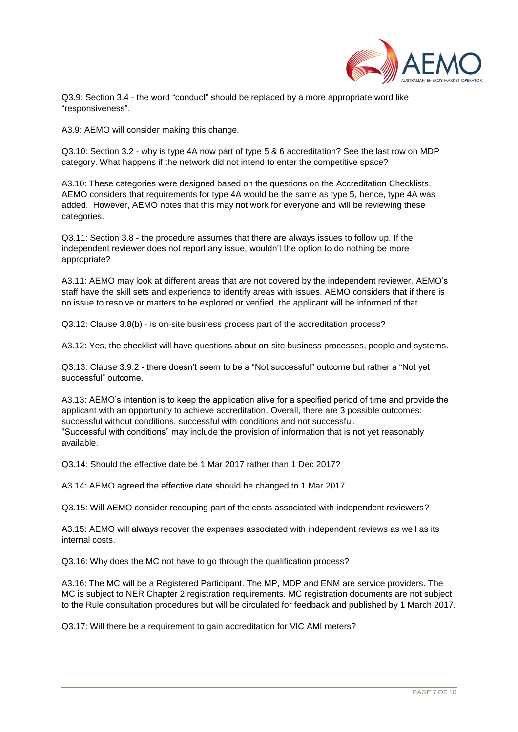

Q3.9: Section 3.4 - the word "conduct" should be replaced by a more appropriate word like "responsiveness".

A3.9: AEMO will consider making this change.

Q3.10: Section 3.2 - why is type 4A now part of type 5 & 6 accreditation? See the last row on MDP category. What happens if the network did not intend to enter the competitive space?

A3.10: These categories were designed based on the questions on the Accreditation Checklists. AEMO considers that requirements for type 4A would be the same as type 5, hence, type 4A was added. However, AEMO notes that this may not work for everyone and will be reviewing these categories.

Q3.11: Section 3.8 - the procedure assumes that there are always issues to follow up. If the independent reviewer does not report any issue, wouldn't the option to do nothing be more appropriate?

A3.11: AEMO may look at different areas that are not covered by the independent reviewer. AEMO's staff have the skill sets and experience to identify areas with issues. AEMO considers that if there is no issue to resolve or matters to be explored or verified, the applicant will be informed of that.

Q3.12: Clause 3.8(b) - is on-site business process part of the accreditation process?

A3.12: Yes, the checklist will have questions about on-site business processes, people and systems.

Q3.13: Clause 3.9.2 - there doesn't seem to be a "Not successful" outcome but rather a "Not yet successful" outcome.

A3.13: AEMO's intention is to keep the application alive for a specified period of time and provide the applicant with an opportunity to achieve accreditation. Overall, there are 3 possible outcomes: successful without conditions, successful with conditions and not successful. "Successful with conditions" may include the provision of information that is not yet reasonably available.

Q3.14: Should the effective date be 1 Mar 2017 rather than 1 Dec 2017?

A3.14: AEMO agreed the effective date should be changed to 1 Mar 2017.

Q3.15: Will AEMO consider recouping part of the costs associated with independent reviewers?

A3.15: AEMO will always recover the expenses associated with independent reviews as well as its internal costs.

Q3.16: Why does the MC not have to go through the qualification process?

A3.16: The MC will be a Registered Participant. The MP, MDP and ENM are service providers. The MC is subject to NER Chapter 2 registration requirements. MC registration documents are not subject to the Rule consultation procedures but will be circulated for feedback and published by 1 March 2017.

Q3.17: Will there be a requirement to gain accreditation for VIC AMI meters?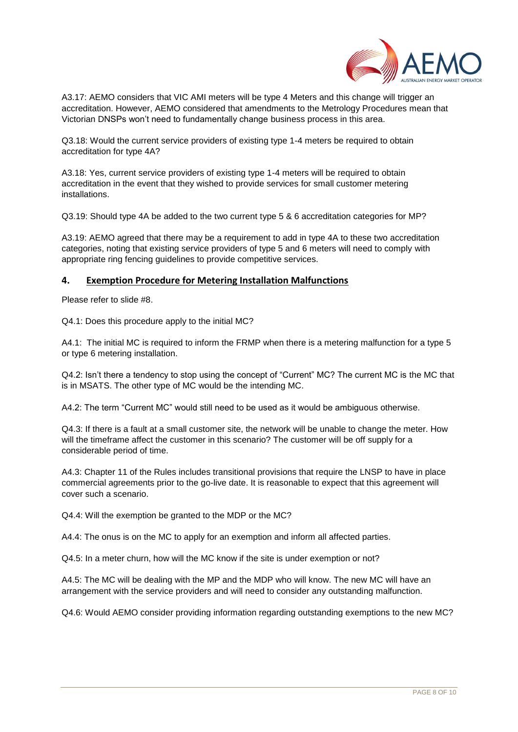

A3.17: AEMO considers that VIC AMI meters will be type 4 Meters and this change will trigger an accreditation. However, AEMO considered that amendments to the Metrology Procedures mean that Victorian DNSPs won't need to fundamentally change business process in this area.

Q3.18: Would the current service providers of existing type 1-4 meters be required to obtain accreditation for type 4A?

A3.18: Yes, current service providers of existing type 1-4 meters will be required to obtain accreditation in the event that they wished to provide services for small customer metering installations.

Q3.19: Should type 4A be added to the two current type 5 & 6 accreditation categories for MP?

A3.19: AEMO agreed that there may be a requirement to add in type 4A to these two accreditation categories, noting that existing service providers of type 5 and 6 meters will need to comply with appropriate ring fencing guidelines to provide competitive services.

#### **4. Exemption Procedure for Metering Installation Malfunctions**

Please refer to slide #8.

Q4.1: Does this procedure apply to the initial MC?

A4.1: The initial MC is required to inform the FRMP when there is a metering malfunction for a type 5 or type 6 metering installation.

Q4.2: Isn't there a tendency to stop using the concept of "Current" MC? The current MC is the MC that is in MSATS. The other type of MC would be the intending MC.

A4.2: The term "Current MC" would still need to be used as it would be ambiguous otherwise.

Q4.3: If there is a fault at a small customer site, the network will be unable to change the meter. How will the timeframe affect the customer in this scenario? The customer will be off supply for a considerable period of time.

A4.3: Chapter 11 of the Rules includes transitional provisions that require the LNSP to have in place commercial agreements prior to the go-live date. It is reasonable to expect that this agreement will cover such a scenario.

Q4.4: Will the exemption be granted to the MDP or the MC?

A4.4: The onus is on the MC to apply for an exemption and inform all affected parties.

Q4.5: In a meter churn, how will the MC know if the site is under exemption or not?

A4.5: The MC will be dealing with the MP and the MDP who will know. The new MC will have an arrangement with the service providers and will need to consider any outstanding malfunction.

Q4.6: Would AEMO consider providing information regarding outstanding exemptions to the new MC?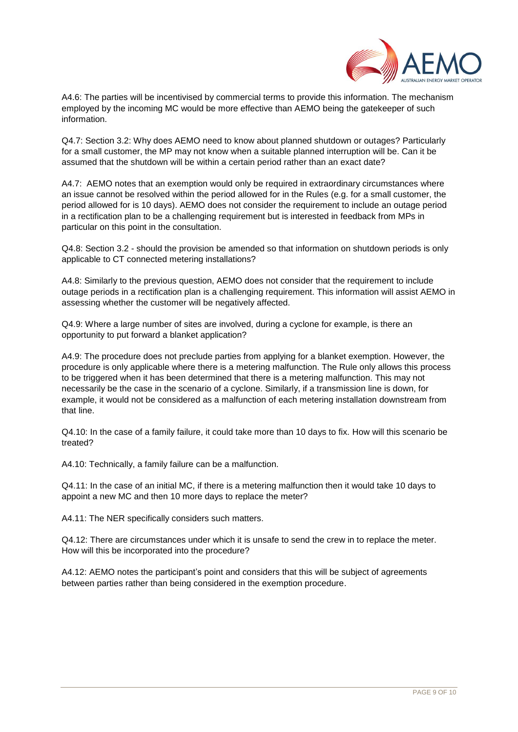

A4.6: The parties will be incentivised by commercial terms to provide this information. The mechanism employed by the incoming MC would be more effective than AEMO being the gatekeeper of such information.

Q4.7: Section 3.2: Why does AEMO need to know about planned shutdown or outages? Particularly for a small customer, the MP may not know when a suitable planned interruption will be. Can it be assumed that the shutdown will be within a certain period rather than an exact date?

A4.7: AEMO notes that an exemption would only be required in extraordinary circumstances where an issue cannot be resolved within the period allowed for in the Rules (e.g. for a small customer, the period allowed for is 10 days). AEMO does not consider the requirement to include an outage period in a rectification plan to be a challenging requirement but is interested in feedback from MPs in particular on this point in the consultation.

Q4.8: Section 3.2 - should the provision be amended so that information on shutdown periods is only applicable to CT connected metering installations?

A4.8: Similarly to the previous question, AEMO does not consider that the requirement to include outage periods in a rectification plan is a challenging requirement. This information will assist AEMO in assessing whether the customer will be negatively affected.

Q4.9: Where a large number of sites are involved, during a cyclone for example, is there an opportunity to put forward a blanket application?

A4.9: The procedure does not preclude parties from applying for a blanket exemption. However, the procedure is only applicable where there is a metering malfunction. The Rule only allows this process to be triggered when it has been determined that there is a metering malfunction. This may not necessarily be the case in the scenario of a cyclone. Similarly, if a transmission line is down, for example, it would not be considered as a malfunction of each metering installation downstream from that line.

Q4.10: In the case of a family failure, it could take more than 10 days to fix. How will this scenario be treated?

A4.10: Technically, a family failure can be a malfunction.

Q4.11: In the case of an initial MC, if there is a metering malfunction then it would take 10 days to appoint a new MC and then 10 more days to replace the meter?

A4.11: The NER specifically considers such matters.

Q4.12: There are circumstances under which it is unsafe to send the crew in to replace the meter. How will this be incorporated into the procedure?

A4.12: AEMO notes the participant's point and considers that this will be subject of agreements between parties rather than being considered in the exemption procedure.